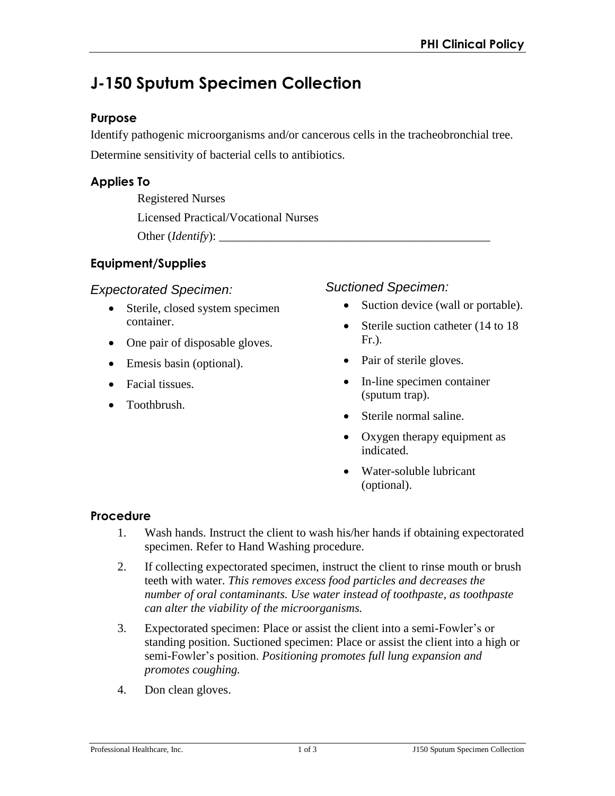# **J-150 Sputum Specimen Collection**

## **Purpose**

Identify pathogenic microorganisms and/or cancerous cells in the tracheobronchial tree. Determine sensitivity of bacterial cells to antibiotics.

# **Applies To**

Registered Nurses Licensed Practical/Vocational Nurses Other (*Identify*): \_\_\_\_\_\_\_\_\_\_\_\_\_\_\_\_\_\_\_\_\_\_\_\_\_\_\_\_\_\_\_\_\_\_\_\_\_\_\_\_\_\_\_\_\_

# **Equipment/Supplies**

#### *Expectorated Specimen:*

- Sterile, closed system specimen container.
- One pair of disposable gloves.
- Emesis basin (optional).
- Facial tissues.
- Toothbrush.

#### *Suctioned Specimen:*

- Suction device (wall or portable).
- Sterile suction catheter (14 to 18 Fr.).
- Pair of sterile gloves.
- In-line specimen container (sputum trap).
- Sterile normal saline.
- Oxygen therapy equipment as indicated.
- Water-soluble lubricant (optional).

## **Procedure**

- 1. Wash hands. Instruct the client to wash his/her hands if obtaining expectorated specimen. Refer to Hand Washing procedure.
- 2. If collecting expectorated specimen, instruct the client to rinse mouth or brush teeth with water. *This removes excess food particles and decreases the number of oral contaminants. Use water instead of toothpaste, as toothpaste can alter the viability of the microorganisms.*
- 3. Expectorated specimen: Place or assist the client into a semi-Fowler's or standing position. Suctioned specimen: Place or assist the client into a high or semi-Fowler's position. *Positioning promotes full lung expansion and promotes coughing.*
- 4. Don clean gloves.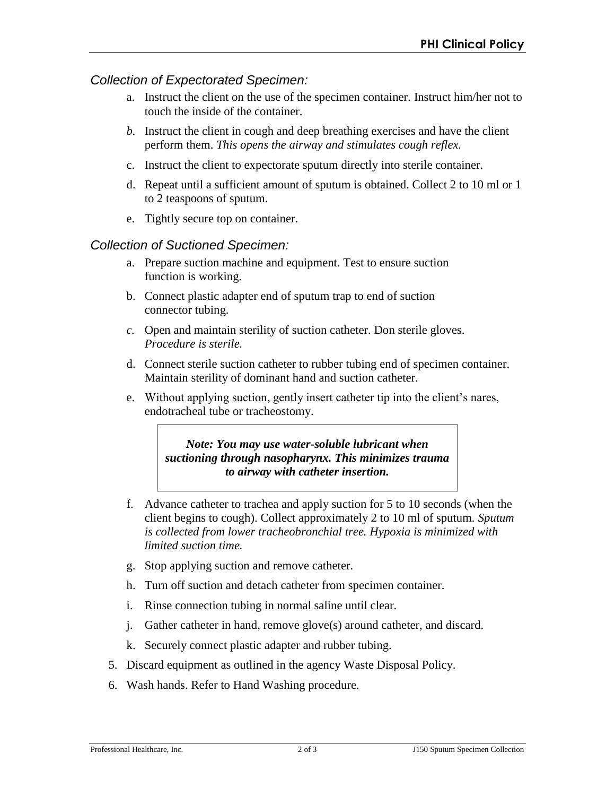## *Collection of Expectorated Specimen:*

- a. Instruct the client on the use of the specimen container. Instruct him/her not to touch the inside of the container.
- *b.* Instruct the client in cough and deep breathing exercises and have the client perform them. *This opens the airway and stimulates cough reflex.*
- c. Instruct the client to expectorate sputum directly into sterile container.
- d. Repeat until a sufficient amount of sputum is obtained. Collect 2 to 10 ml or 1 to 2 teaspoons of sputum.
- e. Tightly secure top on container.

## *Collection of Suctioned Specimen:*

- a. Prepare suction machine and equipment. Test to ensure suction function is working.
- b. Connect plastic adapter end of sputum trap to end of suction connector tubing.
- *c.* Open and maintain sterility of suction catheter. Don sterile gloves. *Procedure is sterile.*
- d. Connect sterile suction catheter to rubber tubing end of specimen container. Maintain sterility of dominant hand and suction catheter.
- e. Without applying suction, gently insert catheter tip into the client's nares, endotracheal tube or tracheostomy.

*Note: You may use water-soluble lubricant when suctioning through nasopharynx. This minimizes trauma to airway with catheter insertion.* 

- f. Advance catheter to trachea and apply suction for 5 to 10 seconds (when the client begins to cough). Collect approximately 2 to 10 ml of sputum. *Sputum is collected from lower tracheobronchial tree. Hypoxia is minimized with limited suction time.*
- g. Stop applying suction and remove catheter.
- h. Turn off suction and detach catheter from specimen container.
- i. Rinse connection tubing in normal saline until clear.
- j. Gather catheter in hand, remove glove(s) around catheter, and discard.
- k. Securely connect plastic adapter and rubber tubing.
- 5. Discard equipment as outlined in the agency Waste Disposal Policy.
- 6. Wash hands. Refer to Hand Washing procedure.